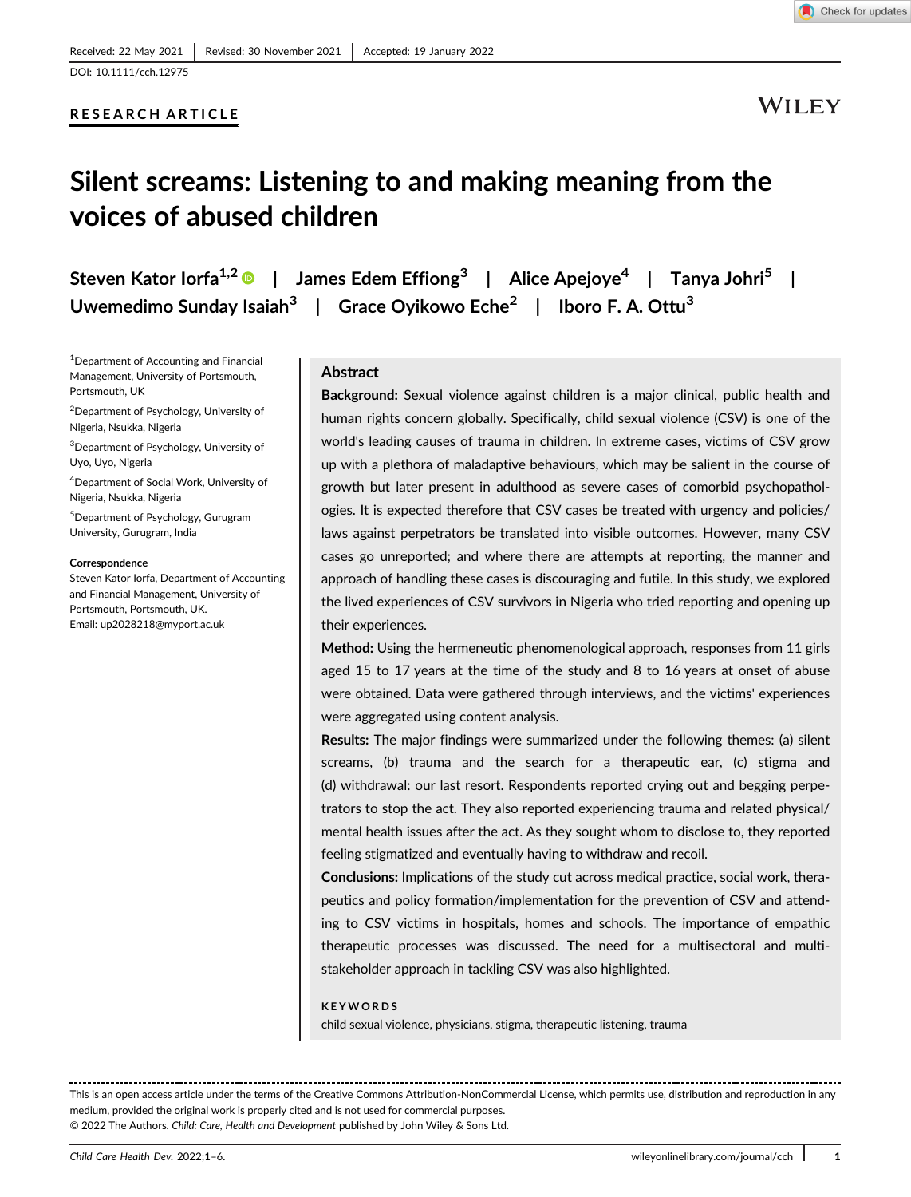# RESEARCH ARTICLE

WILEY

# Silent screams: Listening to and making meaning from the voices of abused children

Steven Kator Iorfa<sup>1,2</sup>  $\bullet$  | James Edem Effiong<sup>3</sup> | Alice Apejoye<sup>4</sup> | Tanya Johri<sup>5</sup> | Uwemedimo Sunday Isaiah<sup>3</sup> | Grace Oyikowo Eche<sup>2</sup> | Iboro F. A. Ottu<sup>3</sup>

1 Department of Accounting and Financial Management, University of Portsmouth, Portsmouth, UK

2 Department of Psychology, University of Nigeria, Nsukka, Nigeria

3 Department of Psychology, University of Uyo, Uyo, Nigeria

4 Department of Social Work, University of Nigeria, Nsukka, Nigeria

5 Department of Psychology, Gurugram University, Gurugram, India

#### **Correspondence**

Steven Kator Iorfa, Department of Accounting and Financial Management, University of Portsmouth, Portsmouth, UK. Email: [up2028218@myport.ac.uk](mailto:up2028218@myport.ac.uk)

# **Abstract**

Background: Sexual violence against children is a major clinical, public health and human rights concern globally. Specifically, child sexual violence (CSV) is one of the world's leading causes of trauma in children. In extreme cases, victims of CSV grow up with a plethora of maladaptive behaviours, which may be salient in the course of growth but later present in adulthood as severe cases of comorbid psychopathologies. It is expected therefore that CSV cases be treated with urgency and policies/ laws against perpetrators be translated into visible outcomes. However, many CSV cases go unreported; and where there are attempts at reporting, the manner and approach of handling these cases is discouraging and futile. In this study, we explored the lived experiences of CSV survivors in Nigeria who tried reporting and opening up their experiences.

Method: Using the hermeneutic phenomenological approach, responses from 11 girls aged 15 to 17 years at the time of the study and 8 to 16 years at onset of abuse were obtained. Data were gathered through interviews, and the victims' experiences were aggregated using content analysis.

Results: The major findings were summarized under the following themes: (a) silent screams, (b) trauma and the search for a therapeutic ear, (c) stigma and (d) withdrawal: our last resort. Respondents reported crying out and begging perpetrators to stop the act. They also reported experiencing trauma and related physical/ mental health issues after the act. As they sought whom to disclose to, they reported feeling stigmatized and eventually having to withdraw and recoil.

Conclusions: Implications of the study cut across medical practice, social work, therapeutics and policy formation/implementation for the prevention of CSV and attending to CSV victims in hospitals, homes and schools. The importance of empathic therapeutic processes was discussed. The need for a multisectoral and multistakeholder approach in tackling CSV was also highlighted.

#### **KEYWORDS**

child sexual violence, physicians, stigma, therapeutic listening, trauma

This is an open access article under the terms of the [Creative Commons Attribution-NonCommercial](http://creativecommons.org/licenses/by-nc/4.0/) License, which permits use, distribution and reproduction in any medium, provided the original work is properly cited and is not used for commercial purposes. © 2022 The Authors. Child: Care, Health and Development published by John Wiley & Sons Ltd.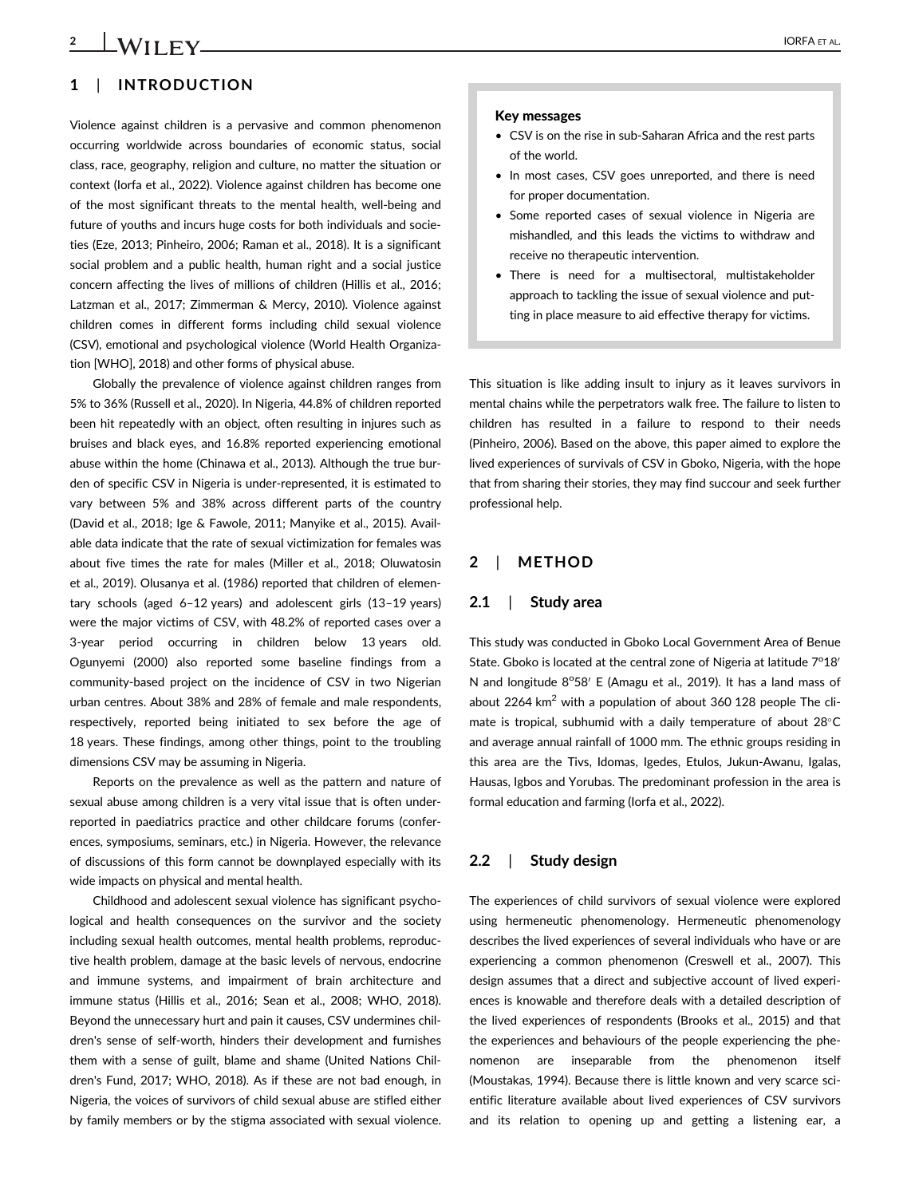# 2 **LWIIFY IORFA** ET AL.

# 1 | INTRODUCTION

Violence against children is a pervasive and common phenomenon occurring worldwide across boundaries of economic status, social class, race, geography, religion and culture, no matter the situation or context (Iorfa et al., 2022). Violence against children has become one of the most significant threats to the mental health, well-being and future of youths and incurs huge costs for both individuals and societies (Eze, 2013; Pinheiro, 2006; Raman et al., 2018). It is a significant social problem and a public health, human right and a social justice concern affecting the lives of millions of children (Hillis et al., 2016; Latzman et al., 2017; Zimmerman & Mercy, 2010). Violence against children comes in different forms including child sexual violence (CSV), emotional and psychological violence (World Health Organization [WHO], 2018) and other forms of physical abuse.

Globally the prevalence of violence against children ranges from 5% to 36% (Russell et al., 2020). In Nigeria, 44.8% of children reported been hit repeatedly with an object, often resulting in injures such as bruises and black eyes, and 16.8% reported experiencing emotional abuse within the home (Chinawa et al., 2013). Although the true burden of specific CSV in Nigeria is under-represented, it is estimated to vary between 5% and 38% across different parts of the country (David et al., 2018; Ige & Fawole, 2011; Manyike et al., 2015). Available data indicate that the rate of sexual victimization for females was about five times the rate for males (Miller et al., 2018; Oluwatosin et al., 2019). Olusanya et al. (1986) reported that children of elementary schools (aged 6–12 years) and adolescent girls (13–19 years) were the major victims of CSV, with 48.2% of reported cases over a 3-year period occurring in children below 13 years old. Ogunyemi (2000) also reported some baseline findings from a community-based project on the incidence of CSV in two Nigerian urban centres. About 38% and 28% of female and male respondents, respectively, reported being initiated to sex before the age of 18 years. These findings, among other things, point to the troubling dimensions CSV may be assuming in Nigeria.

Reports on the prevalence as well as the pattern and nature of sexual abuse among children is a very vital issue that is often underreported in paediatrics practice and other childcare forums (conferences, symposiums, seminars, etc.) in Nigeria. However, the relevance of discussions of this form cannot be downplayed especially with its wide impacts on physical and mental health.

Childhood and adolescent sexual violence has significant psychological and health consequences on the survivor and the society including sexual health outcomes, mental health problems, reproductive health problem, damage at the basic levels of nervous, endocrine and immune systems, and impairment of brain architecture and immune status (Hillis et al., 2016; Sean et al., 2008; WHO, 2018). Beyond the unnecessary hurt and pain it causes, CSV undermines children's sense of self-worth, hinders their development and furnishes them with a sense of guilt, blame and shame (United Nations Children's Fund, 2017; WHO, 2018). As if these are not bad enough, in Nigeria, the voices of survivors of child sexual abuse are stifled either by family members or by the stigma associated with sexual violence.

- CSV is on the rise in sub-Saharan Africa and the rest parts of the world.
- In most cases, CSV goes unreported, and there is need for proper documentation.
- Some reported cases of sexual violence in Nigeria are mishandled, and this leads the victims to withdraw and receive no therapeutic intervention.
- There is need for a multisectoral, multistakeholder approach to tackling the issue of sexual violence and putting in place measure to aid effective therapy for victims.

This situation is like adding insult to injury as it leaves survivors in mental chains while the perpetrators walk free. The failure to listen to children has resulted in a failure to respond to their needs (Pinheiro, 2006). Based on the above, this paper aimed to explore the lived experiences of survivals of CSV in Gboko, Nigeria, with the hope that from sharing their stories, they may find succour and seek further professional help.

# 2 | METHOD

### 2.1 | Study area

This study was conducted in Gboko Local Government Area of Benue State. Gboko is located at the central zone of Nigeria at latitude  $7^{\circ}18'$ N and longitude 8°58' E (Amagu et al., 2019). It has a land mass of about 2264 km<sup>2</sup> with a population of about 360 128 people The climate is tropical, subhumid with a daily temperature of about  $28^{\circ}$ C and average annual rainfall of 1000 mm. The ethnic groups residing in this area are the Tivs, Idomas, Igedes, Etulos, Jukun-Awanu, Igalas, Hausas, Igbos and Yorubas. The predominant profession in the area is formal education and farming (Iorfa et al., 2022).

# 2.2 | Study design

The experiences of child survivors of sexual violence were explored using hermeneutic phenomenology. Hermeneutic phenomenology describes the lived experiences of several individuals who have or are experiencing a common phenomenon (Creswell et al., 2007). This design assumes that a direct and subjective account of lived experiences is knowable and therefore deals with a detailed description of the lived experiences of respondents (Brooks et al., 2015) and that the experiences and behaviours of the people experiencing the phenomenon are inseparable from the phenomenon itself (Moustakas, 1994). Because there is little known and very scarce scientific literature available about lived experiences of CSV survivors and its relation to opening up and getting a listening ear, a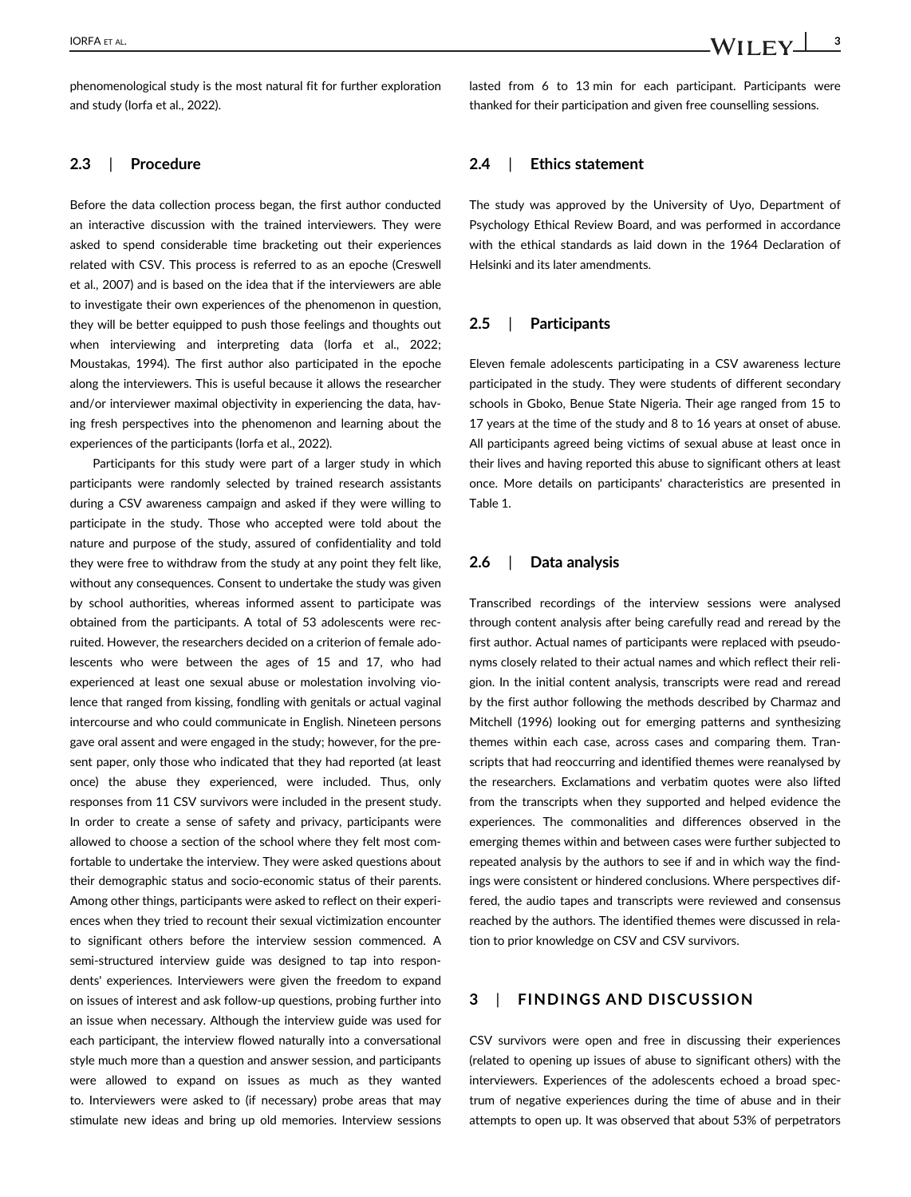phenomenological study is the most natural fit for further exploration and study (Iorfa et al., 2022).

### 2.3 | Procedure

Before the data collection process began, the first author conducted an interactive discussion with the trained interviewers. They were asked to spend considerable time bracketing out their experiences related with CSV. This process is referred to as an epoche (Creswell et al., 2007) and is based on the idea that if the interviewers are able to investigate their own experiences of the phenomenon in question, they will be better equipped to push those feelings and thoughts out when interviewing and interpreting data (Iorfa et al., 2022; Moustakas, 1994). The first author also participated in the epoche along the interviewers. This is useful because it allows the researcher and/or interviewer maximal objectivity in experiencing the data, having fresh perspectives into the phenomenon and learning about the experiences of the participants (Iorfa et al., 2022).

Participants for this study were part of a larger study in which participants were randomly selected by trained research assistants during a CSV awareness campaign and asked if they were willing to participate in the study. Those who accepted were told about the nature and purpose of the study, assured of confidentiality and told they were free to withdraw from the study at any point they felt like, without any consequences. Consent to undertake the study was given by school authorities, whereas informed assent to participate was obtained from the participants. A total of 53 adolescents were recruited. However, the researchers decided on a criterion of female adolescents who were between the ages of 15 and 17, who had experienced at least one sexual abuse or molestation involving violence that ranged from kissing, fondling with genitals or actual vaginal intercourse and who could communicate in English. Nineteen persons gave oral assent and were engaged in the study; however, for the present paper, only those who indicated that they had reported (at least once) the abuse they experienced, were included. Thus, only responses from 11 CSV survivors were included in the present study. In order to create a sense of safety and privacy, participants were allowed to choose a section of the school where they felt most comfortable to undertake the interview. They were asked questions about their demographic status and socio-economic status of their parents. Among other things, participants were asked to reflect on their experiences when they tried to recount their sexual victimization encounter to significant others before the interview session commenced. A semi-structured interview guide was designed to tap into respondents' experiences. Interviewers were given the freedom to expand on issues of interest and ask follow-up questions, probing further into an issue when necessary. Although the interview guide was used for each participant, the interview flowed naturally into a conversational style much more than a question and answer session, and participants were allowed to expand on issues as much as they wanted to. Interviewers were asked to (if necessary) probe areas that may stimulate new ideas and bring up old memories. Interview sessions

lasted from 6 to 13 min for each participant. Participants were thanked for their participation and given free counselling sessions.

### 2.4 | Ethics statement

The study was approved by the University of Uyo, Department of Psychology Ethical Review Board, and was performed in accordance with the ethical standards as laid down in the 1964 Declaration of Helsinki and its later amendments.

# 2.5 | Participants

Eleven female adolescents participating in a CSV awareness lecture participated in the study. They were students of different secondary schools in Gboko, Benue State Nigeria. Their age ranged from 15 to 17 years at the time of the study and 8 to 16 years at onset of abuse. All participants agreed being victims of sexual abuse at least once in their lives and having reported this abuse to significant others at least once. More details on participants' characteristics are presented in Table 1.

# 2.6 | Data analysis

Transcribed recordings of the interview sessions were analysed through content analysis after being carefully read and reread by the first author. Actual names of participants were replaced with pseudonyms closely related to their actual names and which reflect their religion. In the initial content analysis, transcripts were read and reread by the first author following the methods described by Charmaz and Mitchell (1996) looking out for emerging patterns and synthesizing themes within each case, across cases and comparing them. Transcripts that had reoccurring and identified themes were reanalysed by the researchers. Exclamations and verbatim quotes were also lifted from the transcripts when they supported and helped evidence the experiences. The commonalities and differences observed in the emerging themes within and between cases were further subjected to repeated analysis by the authors to see if and in which way the findings were consistent or hindered conclusions. Where perspectives differed, the audio tapes and transcripts were reviewed and consensus reached by the authors. The identified themes were discussed in relation to prior knowledge on CSV and CSV survivors.

# 3 | FINDINGS AND DISCUSSION

CSV survivors were open and free in discussing their experiences (related to opening up issues of abuse to significant others) with the interviewers. Experiences of the adolescents echoed a broad spectrum of negative experiences during the time of abuse and in their attempts to open up. It was observed that about 53% of perpetrators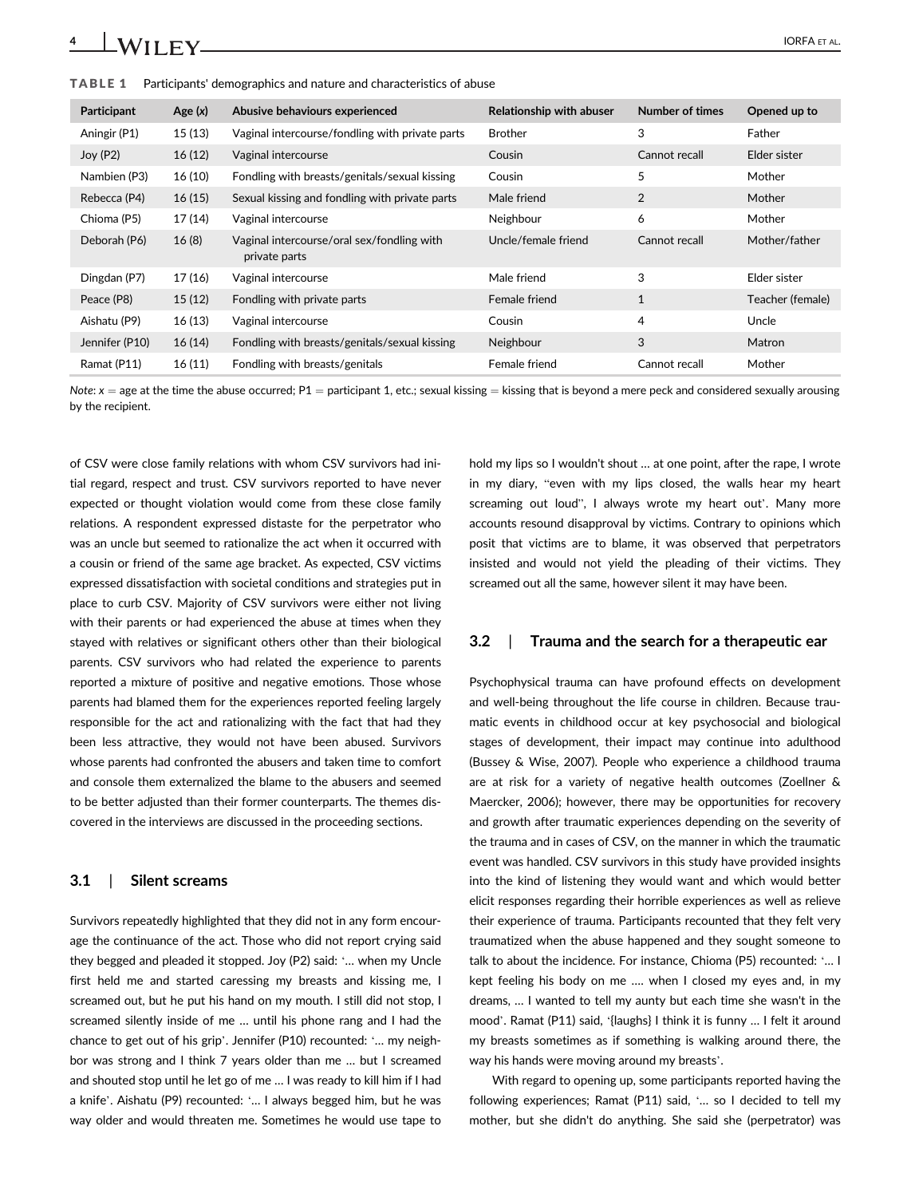| Participant    | Age $(x)$ | Abusive behaviours experienced                              | Relationship with abuser | Number of times | Opened up to     |
|----------------|-----------|-------------------------------------------------------------|--------------------------|-----------------|------------------|
| Aningir (P1)   | 15(13)    | Vaginal intercourse/fondling with private parts             | <b>Brother</b>           | 3               | Father           |
| Joy(P2)        | 16(12)    | Vaginal intercourse                                         | Cousin                   | Cannot recall   | Elder sister     |
| Nambien (P3)   | 16(10)    | Fondling with breasts/genitals/sexual kissing               | Cousin                   | 5               | Mother           |
| Rebecca (P4)   | 16(15)    | Sexual kissing and fondling with private parts              | Male friend              | 2               | Mother           |
| Chioma (P5)    | 17(14)    | Vaginal intercourse                                         | Neighbour                | 6               | Mother           |
| Deborah (P6)   | 16(8)     | Vaginal intercourse/oral sex/fondling with<br>private parts | Uncle/female friend      | Cannot recall   | Mother/father    |
| Dingdan (P7)   | 17 (16)   | Vaginal intercourse                                         | Male friend              | 3               | Elder sister     |
| Peace (P8)     | 15(12)    | Fondling with private parts                                 | Female friend            | $\mathbf{1}$    | Teacher (female) |
| Aishatu (P9)   | 16(13)    | Vaginal intercourse                                         | Cousin                   | 4               | Uncle            |
| Jennifer (P10) | 16(14)    | Fondling with breasts/genitals/sexual kissing               | Neighbour                | 3               | Matron           |
| Ramat (P11)    | 16(11)    | Fondling with breasts/genitals                              | Female friend            | Cannot recall   | Mother           |

TABLE 1 Participants' demographics and nature and characteristics of abuse

Note:  $x =$  age at the time the abuse occurred; P1 = participant 1, etc.; sexual kissing = kissing that is beyond a mere peck and considered sexually arousing by the recipient.

of CSV were close family relations with whom CSV survivors had initial regard, respect and trust. CSV survivors reported to have never expected or thought violation would come from these close family relations. A respondent expressed distaste for the perpetrator who was an uncle but seemed to rationalize the act when it occurred with a cousin or friend of the same age bracket. As expected, CSV victims expressed dissatisfaction with societal conditions and strategies put in place to curb CSV. Majority of CSV survivors were either not living with their parents or had experienced the abuse at times when they stayed with relatives or significant others other than their biological parents. CSV survivors who had related the experience to parents reported a mixture of positive and negative emotions. Those whose parents had blamed them for the experiences reported feeling largely responsible for the act and rationalizing with the fact that had they been less attractive, they would not have been abused. Survivors whose parents had confronted the abusers and taken time to comfort and console them externalized the blame to the abusers and seemed to be better adjusted than their former counterparts. The themes discovered in the interviews are discussed in the proceeding sections.

# 3.1 | Silent screams

Survivors repeatedly highlighted that they did not in any form encourage the continuance of the act. Those who did not report crying said they begged and pleaded it stopped. Joy (P2) said: '… when my Uncle first held me and started caressing my breasts and kissing me, I screamed out, but he put his hand on my mouth. I still did not stop, I screamed silently inside of me … until his phone rang and I had the chance to get out of his grip'. Jennifer (P10) recounted: '… my neighbor was strong and I think 7 years older than me … but I screamed and shouted stop until he let go of me … I was ready to kill him if I had a knife'. Aishatu (P9) recounted: '… I always begged him, but he was way older and would threaten me. Sometimes he would use tape to

hold my lips so I wouldn't shout … at one point, after the rape, I wrote in my diary, "even with my lips closed, the walls hear my heart screaming out loud", I always wrote my heart out'. Many more accounts resound disapproval by victims. Contrary to opinions which posit that victims are to blame, it was observed that perpetrators insisted and would not yield the pleading of their victims. They screamed out all the same, however silent it may have been.

### 3.2 | Trauma and the search for a therapeutic ear

Psychophysical trauma can have profound effects on development and well-being throughout the life course in children. Because traumatic events in childhood occur at key psychosocial and biological stages of development, their impact may continue into adulthood (Bussey & Wise, 2007). People who experience a childhood trauma are at risk for a variety of negative health outcomes (Zoellner & Maercker, 2006); however, there may be opportunities for recovery and growth after traumatic experiences depending on the severity of the trauma and in cases of CSV, on the manner in which the traumatic event was handled. CSV survivors in this study have provided insights into the kind of listening they would want and which would better elicit responses regarding their horrible experiences as well as relieve their experience of trauma. Participants recounted that they felt very traumatized when the abuse happened and they sought someone to talk to about the incidence. For instance, Chioma (P5) recounted: '… I kept feeling his body on me …. when I closed my eyes and, in my dreams, … I wanted to tell my aunty but each time she wasn't in the mood'. Ramat (P11) said, '{laughs} I think it is funny … I felt it around my breasts sometimes as if something is walking around there, the way his hands were moving around my breasts'.

With regard to opening up, some participants reported having the following experiences; Ramat (P11) said, '… so I decided to tell my mother, but she didn't do anything. She said she (perpetrator) was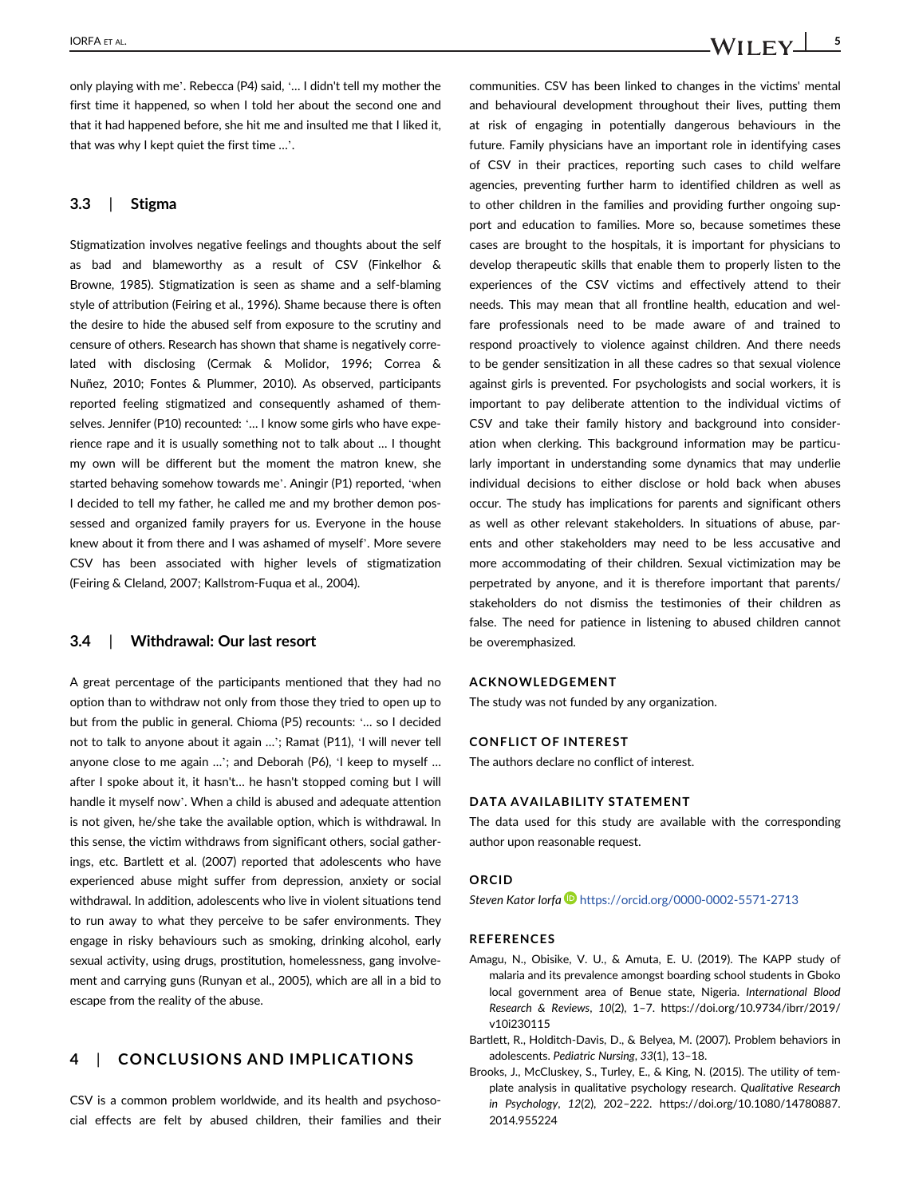only playing with me'. Rebecca (P4) said, '… I didn't tell my mother the first time it happened, so when I told her about the second one and that it had happened before, she hit me and insulted me that I liked it, that was why I kept quiet the first time …'.

# 3.3 | Stigma

Stigmatization involves negative feelings and thoughts about the self as bad and blameworthy as a result of CSV (Finkelhor & Browne, 1985). Stigmatization is seen as shame and a self-blaming style of attribution (Feiring et al., 1996). Shame because there is often the desire to hide the abused self from exposure to the scrutiny and censure of others. Research has shown that shame is negatively correlated with disclosing (Cermak & Molidor, 1996; Correa & Nuñez, 2010; Fontes & Plummer, 2010). As observed, participants reported feeling stigmatized and consequently ashamed of themselves. Jennifer (P10) recounted: '… I know some girls who have experience rape and it is usually something not to talk about … I thought my own will be different but the moment the matron knew, she started behaving somehow towards me'. Aningir (P1) reported, 'when I decided to tell my father, he called me and my brother demon possessed and organized family prayers for us. Everyone in the house knew about it from there and I was ashamed of myself'. More severe CSV has been associated with higher levels of stigmatization (Feiring & Cleland, 2007; Kallstrom-Fuqua et al., 2004).

### 3.4 | Withdrawal: Our last resort

A great percentage of the participants mentioned that they had no option than to withdraw not only from those they tried to open up to but from the public in general. Chioma (P5) recounts: '… so I decided not to talk to anyone about it again …'; Ramat (P11), 'I will never tell anyone close to me again …'; and Deborah (P6), 'I keep to myself … after I spoke about it, it hasn't… he hasn't stopped coming but I will handle it myself now'. When a child is abused and adequate attention is not given, he/she take the available option, which is withdrawal. In this sense, the victim withdraws from significant others, social gatherings, etc. Bartlett et al. (2007) reported that adolescents who have experienced abuse might suffer from depression, anxiety or social withdrawal. In addition, adolescents who live in violent situations tend to run away to what they perceive to be safer environments. They engage in risky behaviours such as smoking, drinking alcohol, early sexual activity, using drugs, prostitution, homelessness, gang involvement and carrying guns (Runyan et al., 2005), which are all in a bid to escape from the reality of the abuse.

# 4 | CONCLUSIONS AND IMPLICATIONS

CSV is a common problem worldwide, and its health and psychosocial effects are felt by abused children, their families and their communities. CSV has been linked to changes in the victims' mental and behavioural development throughout their lives, putting them at risk of engaging in potentially dangerous behaviours in the future. Family physicians have an important role in identifying cases of CSV in their practices, reporting such cases to child welfare agencies, preventing further harm to identified children as well as to other children in the families and providing further ongoing support and education to families. More so, because sometimes these cases are brought to the hospitals, it is important for physicians to develop therapeutic skills that enable them to properly listen to the experiences of the CSV victims and effectively attend to their needs. This may mean that all frontline health, education and welfare professionals need to be made aware of and trained to respond proactively to violence against children. And there needs to be gender sensitization in all these cadres so that sexual violence against girls is prevented. For psychologists and social workers, it is important to pay deliberate attention to the individual victims of CSV and take their family history and background into consideration when clerking. This background information may be particularly important in understanding some dynamics that may underlie individual decisions to either disclose or hold back when abuses occur. The study has implications for parents and significant others as well as other relevant stakeholders. In situations of abuse, parents and other stakeholders may need to be less accusative and more accommodating of their children. Sexual victimization may be perpetrated by anyone, and it is therefore important that parents/ stakeholders do not dismiss the testimonies of their children as false. The need for patience in listening to abused children cannot be overemphasized.

#### ACKNOWLEDGEMENT

The study was not funded by any organization.

#### CONFLICT OF INTEREST

The authors declare no conflict of interest.

#### DATA AVAILABILITY STATEMENT

The data used for this study are available with the corresponding author upon reasonable request.

#### ORCID

Steven Kator Iorfa <https://orcid.org/0000-0002-5571-2713>

### **REFERENCES**

- Amagu, N., Obisike, V. U., & Amuta, E. U. (2019). The KAPP study of malaria and its prevalence amongst boarding school students in Gboko local government area of Benue state, Nigeria. International Blood Research & Reviews, 10(2), 1–7. [https://doi.org/10.9734/ibrr/2019/](https://doi.org/10.9734/ibrr/2019/v10i230115) [v10i230115](https://doi.org/10.9734/ibrr/2019/v10i230115)
- Bartlett, R., Holditch-Davis, D., & Belyea, M. (2007). Problem behaviors in adolescents. Pediatric Nursing, 33(1), 13–18.
- Brooks, J., McCluskey, S., Turley, E., & King, N. (2015). The utility of template analysis in qualitative psychology research. Qualitative Research in Psychology, 12(2), 202–222. [https://doi.org/10.1080/14780887.](https://doi.org/10.1080/14780887.2014.955224) [2014.955224](https://doi.org/10.1080/14780887.2014.955224)